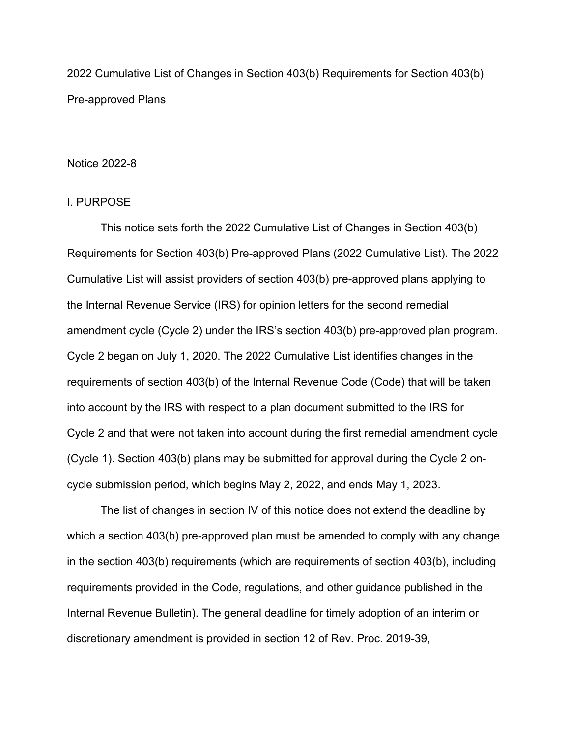2022 Cumulative List of Changes in Section 403(b) Requirements for Section 403(b) Pre-approved Plans

## Notice 2022-8

#### I. PURPOSE

This notice sets forth the 2022 Cumulative List of Changes in Section 403(b) Requirements for Section 403(b) Pre-approved Plans (2022 Cumulative List). The 2022 Cumulative List will assist providers of section 403(b) pre-approved plans applying to the Internal Revenue Service (IRS) for opinion letters for the second remedial amendment cycle (Cycle 2) under the IRS's section 403(b) pre-approved plan program. Cycle 2 began on July 1, 2020. The 2022 Cumulative List identifies changes in the requirements of section 403(b) of the Internal Revenue Code (Code) that will be taken into account by the IRS with respect to a plan document submitted to the IRS for Cycle 2 and that were not taken into account during the first remedial amendment cycle (Cycle 1). Section 403(b) plans may be submitted for approval during the Cycle 2 oncycle submission period, which begins May 2, 2022, and ends May 1, 2023.

The list of changes in section IV of this notice does not extend the deadline by which a section 403(b) pre-approved plan must be amended to comply with any change in the section 403(b) requirements (which are requirements of section 403(b), including requirements provided in the Code, regulations, and other guidance published in the Internal Revenue Bulletin). The general deadline for timely adoption of an interim or discretionary amendment is provided in section 12 of Rev. Proc. 2019-39,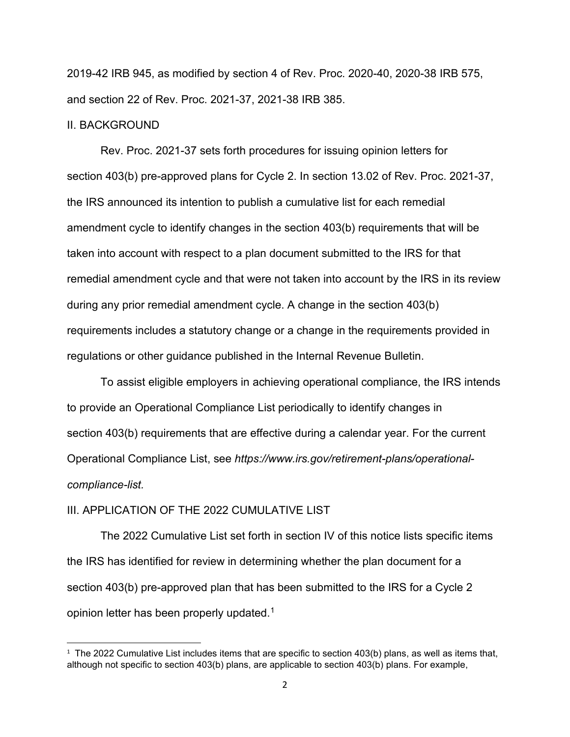2019-42 IRB 945, as modified by section 4 of Rev. Proc. 2020-40, 2020-38 IRB 575, and section 22 of Rev. Proc. 2021-37, 2021-38 IRB 385.

#### II. BACKGROUND

[Rev. Proc. 2021-37](http://www.westlaw.com/Link/Document/FullText?findType=Y&serNum=2039272184&pubNum=0001047&originatingDoc=I0d92f64f5e4c11e7bfb79a463a4b3bc7&refType=CA&originationContext=document&vr=3.0&rs=cblt1.0&transitionType=DocumentItem&contextData=(sc.UserEnteredCitation)) sets forth procedures for issuing opinion letters for section 403(b) pre-approved plans for Cycle 2. In section 13.02 of [Rev. Proc. 2021-37,](http://www.westlaw.com/Link/Document/FullText?findType=Y&serNum=2039272184&pubNum=0001047&originatingDoc=I0d92f64f5e4c11e7bfb79a463a4b3bc7&refType=CA&originationContext=document&vr=3.0&rs=cblt1.0&transitionType=DocumentItem&contextData=(sc.UserEnteredCitation)) the IRS announced its intention to publish a cumulative list for each remedial amendment cycle to identify changes in the section 403(b) requirements that will be taken into account with respect to a plan document submitted to the IRS for that remedial amendment cycle and that were not taken into account by the IRS in its review during any prior remedial amendment cycle. A change in the section 403(b) requirements includes a statutory change or a change in the requirements provided in regulations or other guidance published in the Internal Revenue Bulletin.

To assist eligible employers in achieving operational compliance, the IRS intends to provide an Operational Compliance List periodically to identify changes in section 403(b) requirements that are effective during a calendar year. For the current Operational Compliance List, see *https://www.irs.gov/retirement-plans/operationalcompliance-list.*

# III. APPLICATION OF THE 2022 CUMULATIVE LIST

The 2022 Cumulative List set forth in section IV of this notice lists specific items the IRS has identified for review in determining whether the plan document for a section 403(b) pre-approved plan that has been submitted to the IRS for a Cycle 2 opinion letter has been properly updated.<sup>[1](#page-1-0)</sup>

<span id="page-1-0"></span> $1$  The 2022 Cumulative List includes items that are specific to section 403(b) plans, as well as items that, although not specific to section 403(b) plans, are applicable to section 403(b) plans. For example,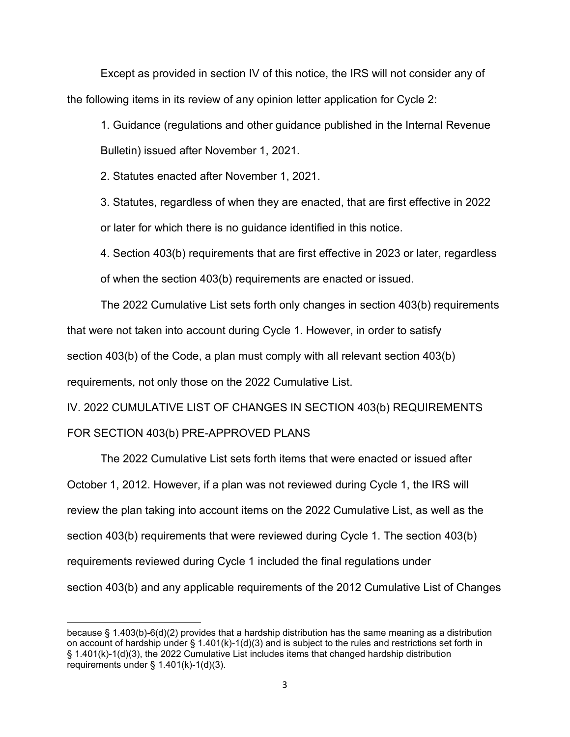Except as provided in section IV of this notice, the IRS will not consider any of the following items in its review of any opinion letter application for Cycle 2:

1. Guidance (regulations and other guidance published in the Internal Revenue Bulletin) issued after November 1, 2021.

2. Statutes enacted after November 1, 2021.

3. Statutes, regardless of when they are enacted, that are first effective in 2022 or later for which there is no guidance identified in this notice.

4. Section 403(b) requirements that are first effective in 2023 or later, regardless of when the section 403(b) requirements are enacted or issued.

The 2022 Cumulative List sets forth only changes in section 403(b) requirements that were not taken into account during Cycle 1. However, in order to satisfy section 403(b) of the Code, a plan must comply with all relevant section 403(b) requirements, not only those on the 2022 Cumulative List.

IV. 2022 CUMULATIVE LIST OF CHANGES IN SECTION 403(b) REQUIREMENTS FOR SECTION 403(b) PRE-APPROVED PLANS

The 2022 Cumulative List sets forth items that were enacted or issued after October 1, 2012. However, if a plan was not reviewed during Cycle 1, the IRS will review the plan taking into account items on the 2022 Cumulative List, as well as the section 403(b) requirements that were reviewed during Cycle 1. The section 403(b) requirements reviewed during Cycle 1 included the final regulations under section 403(b) and any applicable requirements of the 2012 Cumulative List of Changes

because § 1.403(b)-6(d)(2) provides that a hardship distribution has the same meaning as a distribution on account of hardship under § 1.401(k)-1(d)(3) and is subject to the rules and restrictions set forth in § 1.401(k)-1(d)(3), the 2022 Cumulative List includes items that changed hardship distribution requirements under  $\S$  1.401(k)-1(d)(3).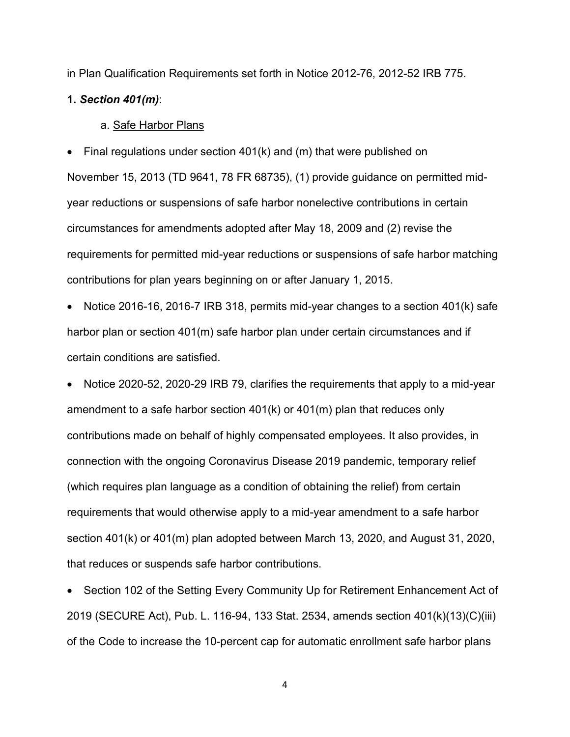in Plan Qualification Requirements set forth in Notice 2012-76, 2012-52 IRB 775.

## **1.** *Section 401(m)*:

#### a. Safe Harbor Plans

• Final regulations under section 401(k) and (m) that were published on November 15, 2013 (TD 9641, 78 FR 68735), (1) provide guidance on permitted midyear reductions or suspensions of safe harbor nonelective contributions in certain circumstances for amendments adopted after May 18, 2009 and (2) revise the requirements for permitted mid-year reductions or suspensions of safe harbor matching contributions for plan years beginning on or after January 1, 2015.

• Notice 2016-16, 2016-7 IRB 318, permits mid-year changes to a section 401(k) safe harbor plan or section 401(m) safe harbor plan under certain circumstances and if certain conditions are satisfied.

• Notice 2020-52, 2020-29 IRB 79, clarifies the requirements that apply to a mid-year amendment to a safe harbor section 401(k) or 401(m) plan that reduces only contributions made on behalf of highly compensated employees. It also provides, in connection with the ongoing Coronavirus Disease 2019 pandemic, temporary relief (which requires plan language as a condition of obtaining the relief) from certain requirements that would otherwise apply to a mid-year amendment to a safe harbor section 401(k) or 401(m) plan adopted between March 13, 2020, and August 31, 2020, that reduces or suspends safe harbor contributions.

• Section 102 of the Setting Every Community Up for Retirement Enhancement Act of 2019 (SECURE Act), Pub. L. 116-94, 133 Stat. 2534, amends section 401(k)(13)(C)(iii) of the Code to increase the 10-percent cap for automatic enrollment safe harbor plans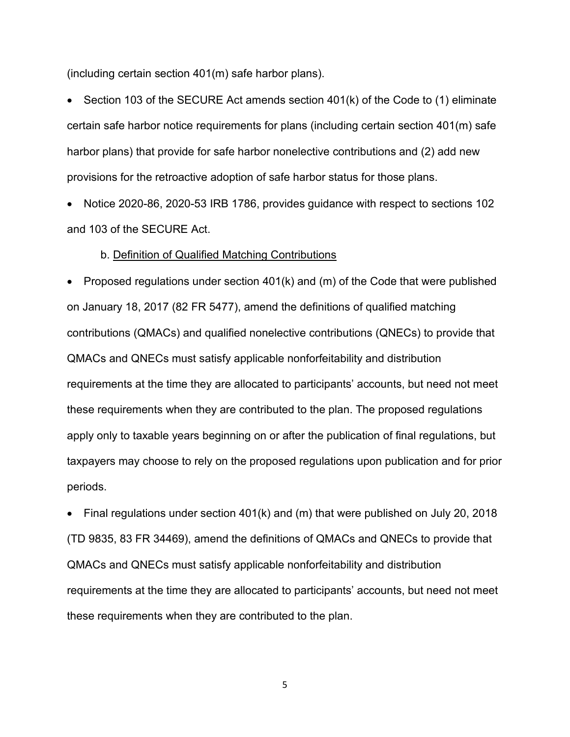(including certain section 401(m) safe harbor plans).

• Section 103 of the SECURE Act amends section 401(k) of the Code to (1) eliminate certain safe harbor notice requirements for plans (including certain section 401(m) safe harbor plans) that provide for safe harbor nonelective contributions and (2) add new provisions for the retroactive adoption of safe harbor status for those plans.

• Notice 2020-86, 2020-53 IRB 1786, provides guidance with respect to sections 102 and 103 of the SECURE Act.

#### b. Definition of Qualified Matching Contributions

• Proposed regulations under section 401(k) and (m) of the Code that were published on January 18, 2017 (82 FR 5477), amend the definitions of qualified matching contributions (QMACs) and qualified nonelective contributions (QNECs) to provide that QMACs and QNECs must satisfy applicable nonforfeitability and distribution requirements at the time they are allocated to participants' accounts, but need not meet these requirements when they are contributed to the plan. The proposed regulations apply only to taxable years beginning on or after the publication of final regulations, but taxpayers may choose to rely on the proposed regulations upon publication and for prior periods.

Final regulations under section  $401(k)$  and (m) that were published on July 20, 2018 (TD 9835, 83 FR 34469), amend the definitions of QMACs and QNECs to provide that QMACs and QNECs must satisfy applicable nonforfeitability and distribution requirements at the time they are allocated to participants' accounts, but need not meet these requirements when they are contributed to the plan.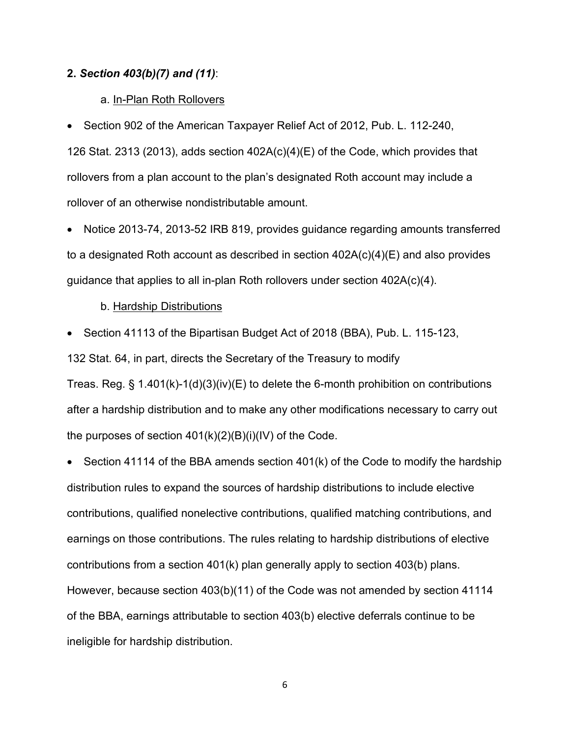### **2.** *Section 403(b)(7) and (11)*:

### a. In-Plan Roth Rollovers

• Section 902 of the American Taxpayer Relief Act of 2012, Pub. L. 112-240,

126 Stat. 2313 (2013), adds section 402A(c)(4)(E) of the Code, which provides that rollovers from a plan account to the plan's designated Roth account may include a rollover of an otherwise nondistributable amount.

• Notice 2013-74, 2013-52 IRB 819, provides guidance regarding amounts transferred to a designated Roth account as described in section 402A(c)(4)(E) and also provides guidance that applies to all in-plan Roth rollovers under section 402A(c)(4).

#### b. Hardship Distributions

• Section 41113 of the Bipartisan Budget Act of 2018 (BBA), Pub. L. 115-123,

132 Stat. 64, in part, directs the Secretary of the Treasury to modify

Treas. Reg. § 1.401(k)-1(d)(3)(iv)(E) to delete the 6-month prohibition on contributions after a hardship distribution and to make any other modifications necessary to carry out the purposes of section  $401(k)(2)(B)(i)(IV)$  of the Code.

• Section 41114 of the BBA amends section 401(k) of the Code to modify the hardship distribution rules to expand the sources of hardship distributions to include elective contributions, qualified nonelective contributions, qualified matching contributions, and earnings on those contributions. The rules relating to hardship distributions of elective contributions from a section 401(k) plan generally apply to section 403(b) plans. However, because section 403(b)(11) of the Code was not amended by section 41114 of the BBA, earnings attributable to section 403(b) elective deferrals continue to be ineligible for hardship distribution.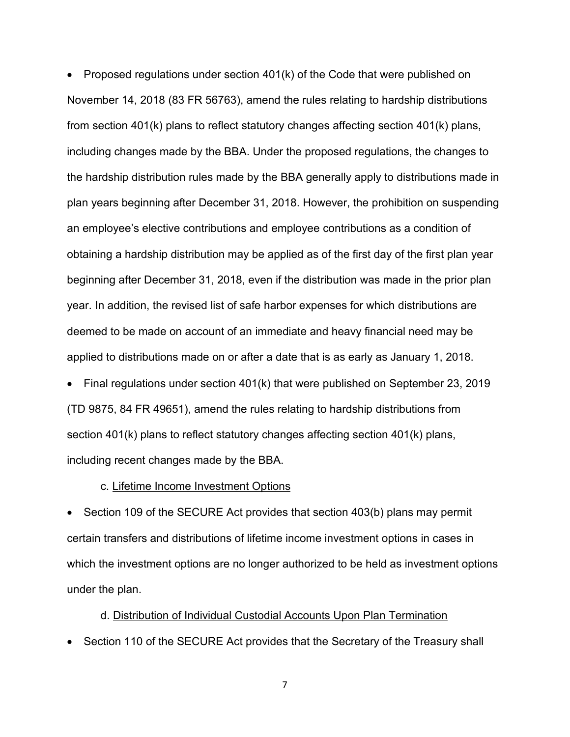• Proposed regulations under section 401(k) of the Code that were published on November 14, 2018 (83 FR 56763), amend the rules relating to hardship distributions from [section](https://1.next.westlaw.com/Link/Document/FullText?findType=L&pubNum=1000546&cite=26USCAS401&originatingDoc=IF740D220DDCF11E9B34482DAD3CC773C&refType=RB&originationContext=document&transitionType=DocumentItem&ppcid=b71284ab83af4dddaace19c37045adb5&contextData=(sc.UserEnteredCitation)#co_pp_340a00009b6f3) 401(k) plans to reflect statutory changes affecting [section 401\(k\)](https://1.next.westlaw.com/Link/Document/FullText?findType=L&pubNum=1000546&cite=26USCAS401&originatingDoc=IF740D220DDCF11E9B34482DAD3CC773C&refType=RB&originationContext=document&transitionType=DocumentItem&ppcid=b71284ab83af4dddaace19c37045adb5&contextData=(sc.UserEnteredCitation)#co_pp_340a00009b6f3) plans, including changes made by the BBA. Under the proposed regulations, the changes to the hardship distribution rules made by the BBA generally apply to distributions made in plan years beginning after December 31, 2018. However, the prohibition on suspending an employee's elective contributions and employee contributions as a condition of obtaining a hardship distribution may be applied as of the first day of the first plan year beginning after December 31, 2018, even if the distribution was made in the prior plan year. In addition, the revised list of safe harbor expenses for which distributions are deemed to be made on account of an immediate and heavy financial need may be applied to distributions made on or after a date that is as early as January 1, 2018.

• Final regulations under section 401(k) that were published on September 23, 2019 (TD 9875, 84 FR 49651), amend the rules relating to hardship distributions from [section](https://1.next.westlaw.com/Link/Document/FullText?findType=L&pubNum=1000546&cite=26USCAS401&originatingDoc=IF740D220DDCF11E9B34482DAD3CC773C&refType=RB&originationContext=document&transitionType=DocumentItem&ppcid=b71284ab83af4dddaace19c37045adb5&contextData=(sc.UserEnteredCitation)#co_pp_340a00009b6f3) 401(k) plans to reflect statutory changes affecting [section 401\(k\)](https://1.next.westlaw.com/Link/Document/FullText?findType=L&pubNum=1000546&cite=26USCAS401&originatingDoc=IF740D220DDCF11E9B34482DAD3CC773C&refType=RB&originationContext=document&transitionType=DocumentItem&ppcid=b71284ab83af4dddaace19c37045adb5&contextData=(sc.UserEnteredCitation)#co_pp_340a00009b6f3) plans, including recent changes made by the BBA.

## c. Lifetime Income Investment Options

• Section 109 of the SECURE Act provides that section 403(b) plans may permit certain transfers and distributions of lifetime income investment options in cases in which the investment options are no longer authorized to be held as investment options under the plan.

## d. Distribution of Individual Custodial Accounts Upon Plan Termination

• Section 110 of the SECURE Act provides that the Secretary of the Treasury shall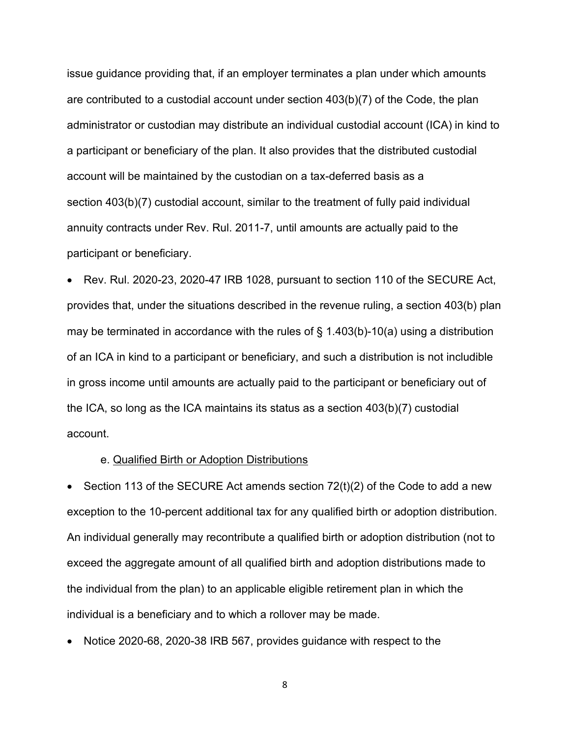issue guidance providing that, if an employer terminates a plan under which amounts are contributed to a custodial account under section 403(b)(7) of the Code, the plan administrator or custodian may distribute an individual custodial account (ICA) in kind to a participant or beneficiary of the plan. It also provides that the distributed custodial account will be maintained by the custodian on a tax-deferred basis as a section 403(b)(7) custodial account, similar to the treatment of fully paid individual annuity contracts under Rev. Rul. 2011-7, until amounts are actually paid to the participant or beneficiary.

• Rev. Rul. 2020-23, 2020-47 IRB 1028, pursuant to section 110 of the SECURE Act, provides that, under the situations described in the revenue ruling, a section 403(b) plan may be terminated in accordance with the rules of  $\S$  1.403(b)-10(a) using a distribution of an ICA in kind to a participant or beneficiary, and such a distribution is not includible in gross income until amounts are actually paid to the participant or beneficiary out of the ICA, so long as the ICA maintains its status as a section 403(b)(7) custodial account.

#### e. Qualified Birth or Adoption Distributions

• Section 113 of the SECURE Act amends section  $72(t)(2)$  of the Code to add a new exception to the 10-percent additional tax for any qualified birth or adoption distribution. An individual generally may recontribute a qualified birth or adoption distribution (not to exceed the aggregate amount of all qualified birth and adoption distributions made to the individual from the plan) to an applicable eligible retirement plan in which the individual is a beneficiary and to which a rollover may be made.

• Notice 2020-68, 2020-38 IRB 567, provides guidance with respect to the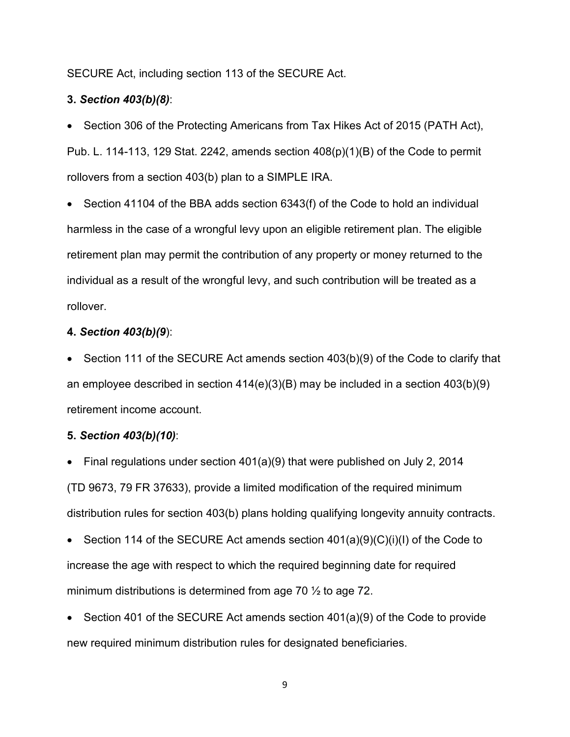SECURE Act, including section 113 of the SECURE Act.

# **3.** *Section 403(b)(8)*:

• Section 306 of the Protecting Americans from Tax Hikes Act of 2015 (PATH Act), Pub. L. 114-113, 129 Stat. 2242, amends section 408(p)(1)(B) of the Code to permit rollovers from a section 403(b) plan to a SIMPLE IRA.

• Section 41104 of the BBA adds section 6343(f) of the Code to hold an individual harmless in the case of a wrongful levy upon an eligible retirement plan. The eligible retirement plan may permit the contribution of any property or money returned to the individual as a result of the wrongful levy, and such contribution will be treated as a rollover.

### **4.** *Section 403(b)(9*):

• Section 111 of the SECURE Act amends section 403(b)(9) of the Code to clarify that an employee described in section 414(e)(3)(B) may be included in a section 403(b)(9) retirement income account.

### **5.** *Section 403(b)(10)*:

- Final regulations under section 401(a)(9) that were published on July 2, 2014 (TD 9673, 79 FR 37633), provide a limited modification of the required minimum distribution rules for section 403(b) plans holding qualifying longevity annuity contracts.
- Section 114 of the SECURE Act amends section 401(a)(9)(C)(i)(I) of the Code to increase the age with respect to which the required beginning date for required minimum distributions is determined from age 70 ½ to age 72.
- Section 401 of the SECURE Act amends section 401(a)(9) of the Code to provide new required minimum distribution rules for designated beneficiaries.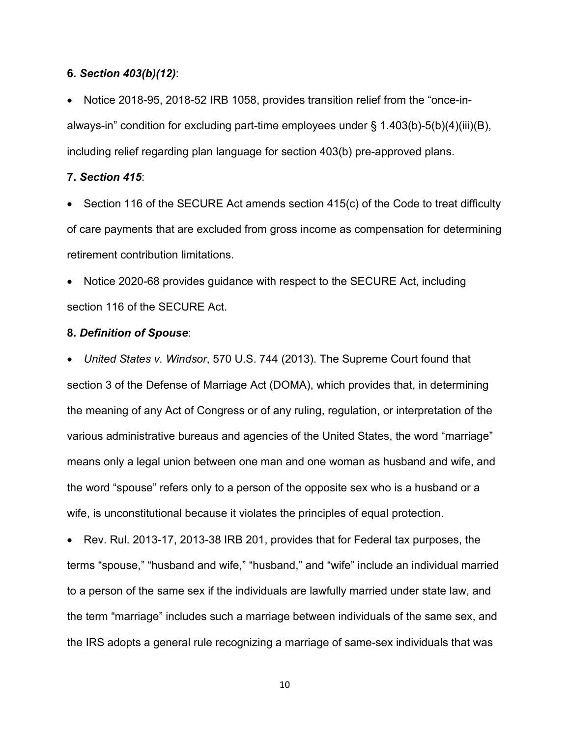### **6.** *Section 403(b)(12)*:

• Notice 2018-95, 2018-52 IRB 1058, provides transition relief from the "once-inalways-in" condition for excluding part-time employees under § 1.403(b)-5(b)(4)(iii)(B), including relief regarding plan language for section 403(b) pre-approved plans.

### **7.** *Section 415*:

• Section 116 of the SECURE Act amends section 415(c) of the Code to treat difficulty of care payments that are excluded from gross income as compensation for determining retirement contribution limitations.

• Notice 2020-68 provides guidance with respect to the SECURE Act, including section 116 of the SECURE Act.

### **8.** *Definition of Spouse*:

• *United States v. Windsor*, 570 U.S. 744 (2013). The Supreme Court found that section 3 of the Defense of Marriage Act (DOMA), which provides that, in determining the meaning of any Act of Congress or of any ruling, regulation, or interpretation of the various administrative bureaus and agencies of the United States, the word "marriage" means only a legal union between one man and one woman as husband and wife, and the word "spouse" refers only to a person of the opposite sex who is a husband or a wife, is unconstitutional because it violates the principles of equal protection.

• Rev. Rul. 2013-17, 2013-38 IRB 201, provides that for Federal tax purposes, the terms "spouse," "husband and wife," "husband," and "wife" include an individual married to a person of the same sex if the individuals are lawfully married under state law, and the term "marriage" includes such a marriage between individuals of the same sex, and the IRS adopts a general rule recognizing a marriage of same-sex individuals that was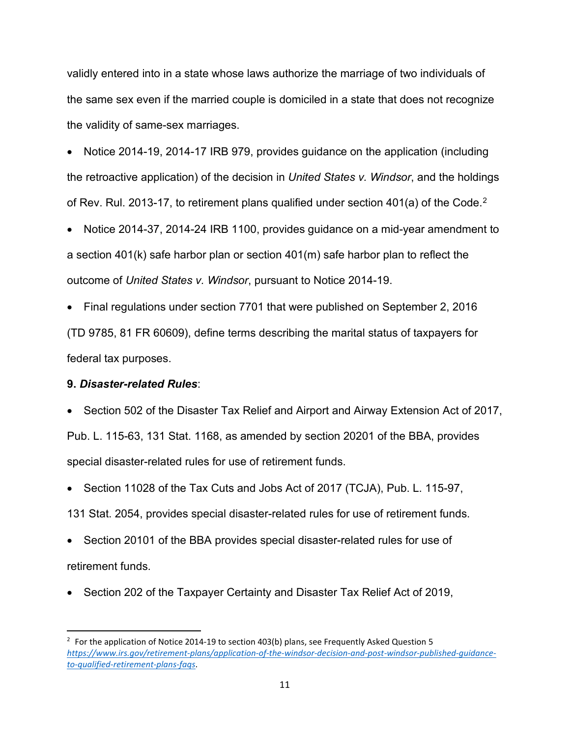validly entered into in a state whose laws authorize the marriage of two individuals of the same sex even if the married couple is domiciled in a state that does not recognize the validity of same-sex marriages.

• Notice 2014-19, 2014-17 IRB 979, provides guidance on the application (including the retroactive application) of the decision in *United States v. Windsor*, and the holdings of Rev. Rul. [2](#page-10-0)013-17, to retirement plans qualified under section 401(a) of the Code.<sup>2</sup>

• Notice 2014-37, 2014-24 IRB 1100, provides guidance on a mid-year amendment to a section 401(k) safe harbor plan or section 401(m) safe harbor plan to reflect the outcome of *United States v. Windsor*, pursuant to Notice 2014-19.

• Final regulations under section 7701 that were published on September 2, 2016 (TD 9785, 81 FR 60609), define terms describing the marital status of taxpayers for federal tax purposes.

## **9.** *Disaster-related Rules*:

• Section 502 of the Disaster Tax Relief and Airport and Airway Extension Act of 2017, Pub. L. 115-63, 131 Stat. 1168, as amended by section 20201 of the BBA, provides special disaster-related rules for use of retirement funds.

• Section 11028 of the Tax Cuts and Jobs Act of 2017 (TCJA), Pub. L. 115-97,

131 Stat. 2054, provides special disaster-related rules for use of retirement funds.

• Section 20101 of the BBA provides special disaster-related rules for use of retirement funds.

• Section 202 of the Taxpayer Certainty and Disaster Tax Relief Act of 2019,

<span id="page-10-0"></span> $2$  For the application of Notice 2014-19 to section 403(b) plans, see Frequently Asked Question 5 *[https://www.irs.gov/retirement-plans/application-of-the-windsor-decision-and-post-windsor-published-guidance](https://www.irs.gov/retirement-plans/application-of-the-windsor-decision-and-post-windsor-published-guidance-to-qualified-retirement-plans-faqs)[to-qualified-retirement-plans-faqs](https://www.irs.gov/retirement-plans/application-of-the-windsor-decision-and-post-windsor-published-guidance-to-qualified-retirement-plans-faqs)*.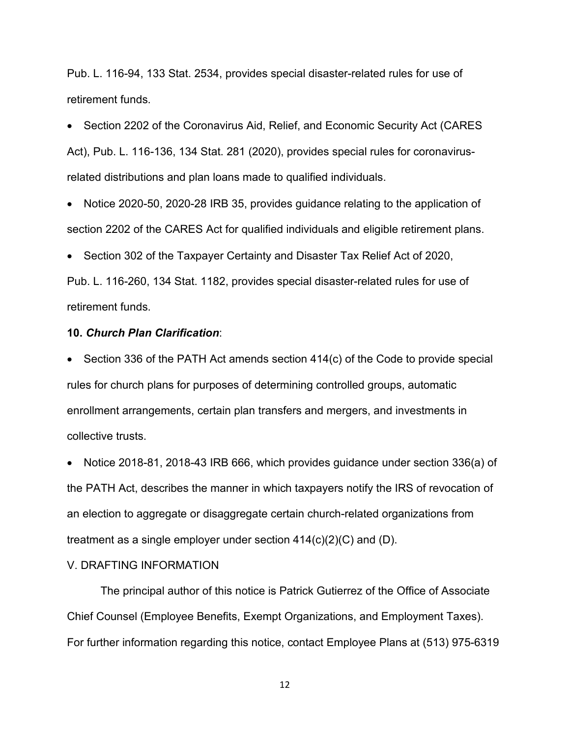Pub. L. 116-94, 133 Stat. 2534, provides special disaster-related rules for use of retirement funds.

• Section 2202 of the Coronavirus Aid, Relief, and Economic Security Act (CARES Act), Pub. L. 116-136, 134 Stat. 281 (2020), provides special rules for coronavirusrelated distributions and plan loans made to qualified individuals.

• Notice 2020-50, 2020-28 IRB 35, provides guidance relating to the application of section 2202 of the CARES Act for qualified individuals and eligible retirement plans.

• Section 302 of the Taxpayer Certainty and Disaster Tax Relief Act of 2020,

Pub. L. 116-260, 134 Stat. 1182, provides special disaster-related rules for use of retirement funds.

### **10.** *Church Plan Clarification*:

• Section 336 of the PATH Act amends section 414(c) of the Code to provide special rules for church plans for purposes of determining controlled groups, automatic enrollment arrangements, certain plan transfers and mergers, and investments in collective trusts.

• Notice 2018-81, 2018-43 IRB 666, which provides guidance under section 336(a) of the PATH Act, describes the manner in which taxpayers notify the IRS of revocation of an election to aggregate or disaggregate certain church-related organizations from treatment as a single employer under section 414(c)(2)(C) and (D).

# V. DRAFTING INFORMATION

The principal author of this notice is Patrick Gutierrez of the Office of Associate Chief Counsel (Employee Benefits, Exempt Organizations, and Employment Taxes). For further information regarding this notice, contact Employee Plans at (513) 975-6319